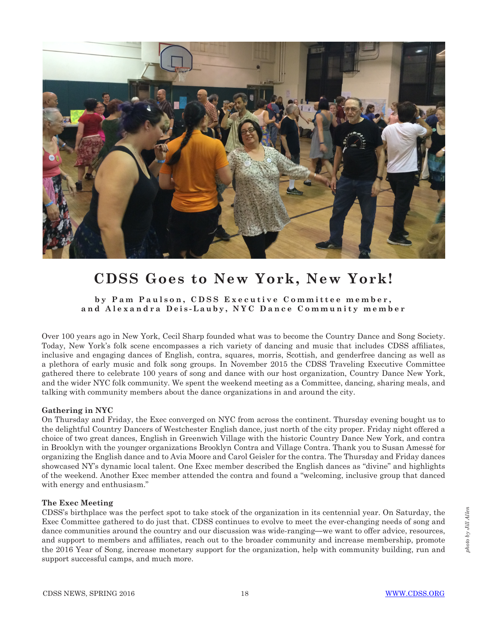

# **CDSS Goes to New York, New York!**

## **by Pam Paulson, CDSS Executive Committee member, and Alexandra Deis-Lauby, NYC Dance Community member**

Over 100 years ago in New York, Cecil Sharp founded what was to become the Country Dance and Song Society. Today, New York's folk scene encompasses a rich variety of dancing and music that includes CDSS affiliates, inclusive and engaging dances of English, contra, squares, morris, Scottish, and genderfree dancing as well as a plethora of early music and folk song groups. In November 2015 the CDSS Traveling Executive Committee gathered there to celebrate 100 years of song and dance with our host organization, Country Dance New York, and the wider NYC folk community. We spent the weekend meeting as a Committee, dancing, sharing meals, and talking with community members about the dance organizations in and around the city.

## **Gathering in NYC**

On Thursday and Friday, the Exec converged on NYC from across the continent. Thursday evening bought us to the delightful Country Dancers of Westchester English dance, just north of the city proper. Friday night offered a choice of two great dances, English in Greenwich Village with the historic Country Dance New York, and contra in Brooklyn with the younger organizations Brooklyn Contra and Village Contra. Thank you to Susan Amessé for organizing the English dance and to Avia Moore and Carol Geisler for the contra. The Thursday and Friday dances showcased NY's dynamic local talent. One Exec member described the English dances as "divine" and highlights of the weekend. Another Exec member attended the contra and found a "welcoming, inclusive group that danced with energy and enthusiasm."

#### **The Exec Meeting**

CDSS's birthplace was the perfect spot to take stock of the organization in its centennial year. On Saturday, the Exec Committee gathered to do just that. CDSS continues to evolve to meet the ever-changing needs of song and dance communities around the country and our discussion was wide-ranging**—**we want to offer advice, resources, and support to members and affiliates, reach out to the broader community and increase membership, promote the 2016 Year of Song, increase monetary support for the organization, help with community building, run and support successful camps, and much more.